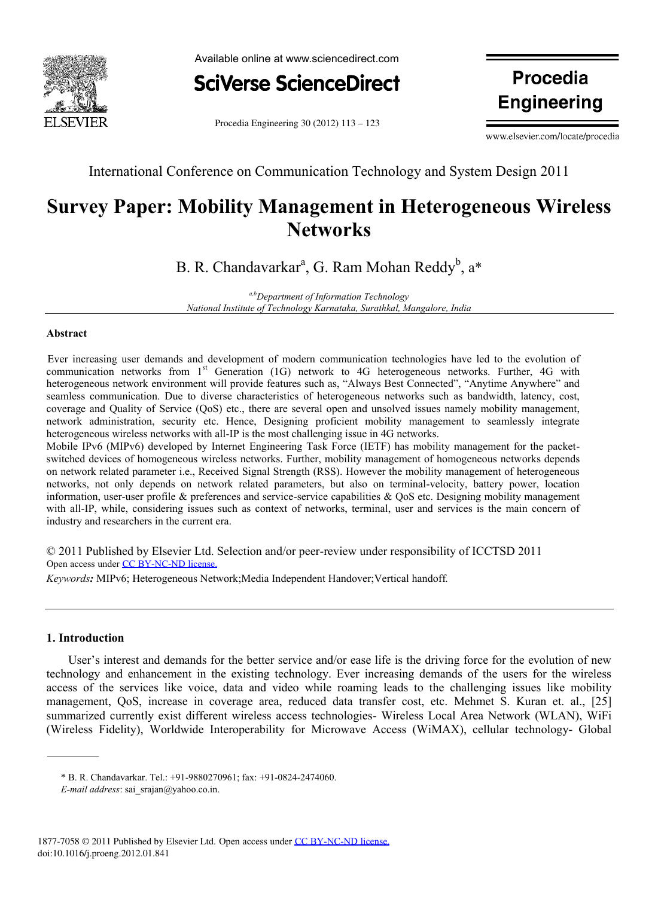



Procedia Engineering 30 (2012) 113 – 123

**Engineering**

www.elsevier.com/locate/procedia

International Conference on Communication Technology and System Design 2011

# **Survey Paper: Mobility Management in Heterogeneous Wireless Networks**

B. R. Chandavarkar<sup>a</sup>, G. Ram Mohan Reddy<sup>b</sup>, a\*

*a,bDepartment of Information Technology National Institute of Technology Karnataka, Surathkal, Mangalore, India* 

# **Abstract**

Ever increasing user demands and development of modern communication technologies have led to the evolution of communication networks from 1<sup>st</sup> Generation (1G) network to 4G heterogeneous networks. Further, 4G with heterogeneous network environment will provide features such as, "Always Best Connected", "Anytime Anywhere" and seamless communication. Due to diverse characteristics of heterogeneous networks such as bandwidth, latency, cost, coverage and Quality of Service (QoS) etc., there are several open and unsolved issues namely mobility management, network administration, security etc. Hence, Designing proficient mobility management to seamlessly integrate heterogeneous wireless networks with all-IP is the most challenging issue in 4G networks.

Mobile IPv6 (MIPv6) developed by Internet Engineering Task Force (IETF) has mobility management for the packetswitched devices of homogeneous wireless networks. Further, mobility management of homogeneous networks depends on network related parameter i.e., Received Signal Strength (RSS). However the mobility management of heterogeneous networks, not only depends on network related parameters, but also on terminal-velocity, battery power, location information, user-user profile & preferences and service-service capabilities & QoS etc. Designing mobility management with all-IP, while, considering issues such as context of networks, terminal, user and services is the main concern of industry and researchers in the current era.

© 2011 Published by Elsevier Ltd. Selection and/or peer-review under responsibility of ICCTSD 2011 Open access under [CC BY-NC-ND license.](http://creativecommons.org/licenses/by-nc-nd/3.0/)

*Keywords:* MIPv6; Heterogeneous Network;Media Independent Handover;Vertical handoff*.* 

# **1. Introduction**

User's interest and demands for the better service and/or ease life is the driving force for the evolution of new technology and enhancement in the existing technology. Ever increasing demands of the users for the wireless access of the services like voice, data and video while roaming leads to the challenging issues like mobility management, QoS, increase in coverage area, reduced data transfer cost, etc. Mehmet S. Kuran et. al., [25] summarized currently exist different wireless access technologies- Wireless Local Area Network (WLAN), WiFi (Wireless Fidelity), Worldwide Interoperability for Microwave Access (WiMAX), cellular technology- Global

<sup>\*</sup> B. R. Chandavarkar. Tel.: +91-9880270961; fax: +91-0824-2474060.

*E-mail address*: sai\_srajan@yahoo.co.in.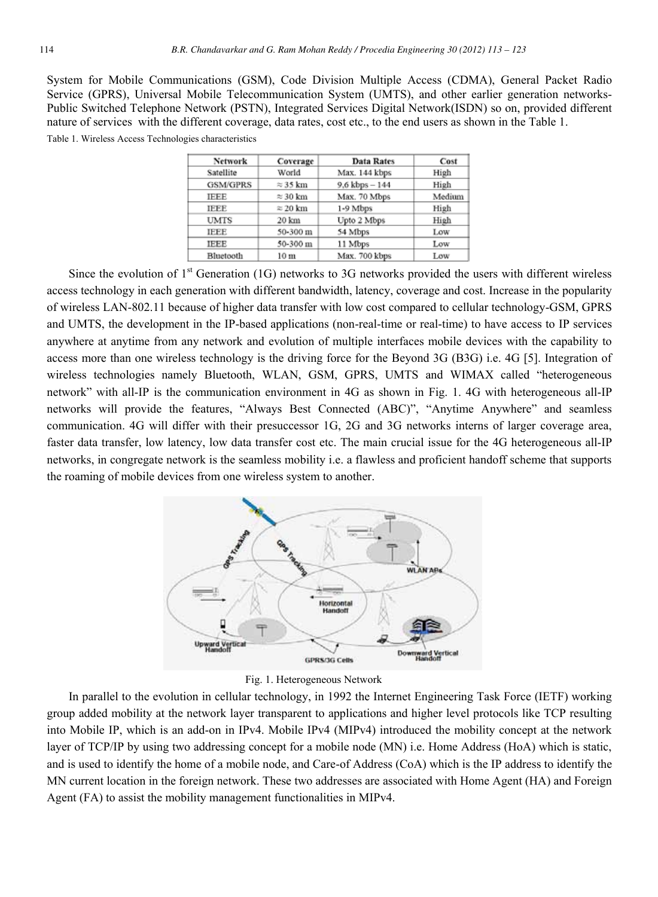System for Mobile Communications (GSM), Code Division Multiple Access (CDMA), General Packet Radio Service (GPRS), Universal Mobile Telecommunication System (UMTS), and other earlier generation networks-Public Switched Telephone Network (PSTN), Integrated Services Digital Network(ISDN) so on, provided different nature of services with the different coverage, data rates, cost etc., to the end users as shown in the Table 1.

Table 1. Wireless Access Technologies characteristics

| <b>Network</b>  | Coverage        | <b>Data Rates</b> | Cost   |
|-----------------|-----------------|-------------------|--------|
| Satellite       | World           | Max. 144 kbps     | High   |
| <b>GSM/GPRS</b> | $\approx$ 35 km | 9,6 kbps - 144    | High   |
| IEEE            | $\approx$ 30 km | Max. 70 Mbps      | Medium |
| <b>IEEE</b>     | $\approx$ 20 km | 1-9 Mbps          | High   |
| UMTS            | 20 km           | Upto 2 Mbps       | High   |
| <b>IEEE</b>     | 50-300 m        | 54 Mbps           | Low    |
| IEEE            | 50-300 m        | 11 Mbps           | Low    |
| Bluetooth       | 10 <sub>m</sub> | Max. 700 kbps     | Low    |

Since the evolution of  $1<sup>st</sup>$  Generation (1G) networks to 3G networks provided the users with different wireless access technology in each generation with different bandwidth, latency, coverage and cost. Increase in the popularity of wireless LAN-802.11 because of higher data transfer with low cost compared to cellular technology-GSM, GPRS and UMTS, the development in the IP-based applications (non-real-time or real-time) to have access to IP services anywhere at anytime from any network and evolution of multiple interfaces mobile devices with the capability to access more than one wireless technology is the driving force for the Beyond 3G (B3G) i.e. 4G [5]. Integration of wireless technologies namely Bluetooth, WLAN, GSM, GPRS, UMTS and WIMAX called "heterogeneous network" with all-IP is the communication environment in 4G as shown in Fig. 1.4G with heterogeneous all-IP networks will provide the features, "Always Best Connected (ABC)", "Anytime Anywhere" and seamless communication. 4G will differ with their presuccessor 1G, 2G and 3G networks interns of larger coverage area, faster data transfer, low latency, low data transfer cost etc. The main crucial issue for the 4G heterogeneous all-IP networks, in congregate network is the seamless mobility i.e. a flawless and proficient handoff scheme that supports the roaming of mobile devices from one wireless system to another.



Fig. 1. Heterogeneous Network

In parallel to the evolution in cellular technology, in 1992 the Internet Engineering Task Force (IETF) working group added mobility at the network layer transparent to applications and higher level protocols like TCP resulting into Mobile IP, which is an add-on in IPv4. Mobile IPv4 (MIPv4) introduced the mobility concept at the network layer of TCP/IP by using two addressing concept for a mobile node (MN) i.e. Home Address (HoA) which is static, and is used to identify the home of a mobile node, and Care-of Address (CoA) which is the IP address to identify the MN current location in the foreign network. These two addresses are associated with Home Agent (HA) and Foreign Agent (FA) to assist the mobility management functionalities in MIPv4.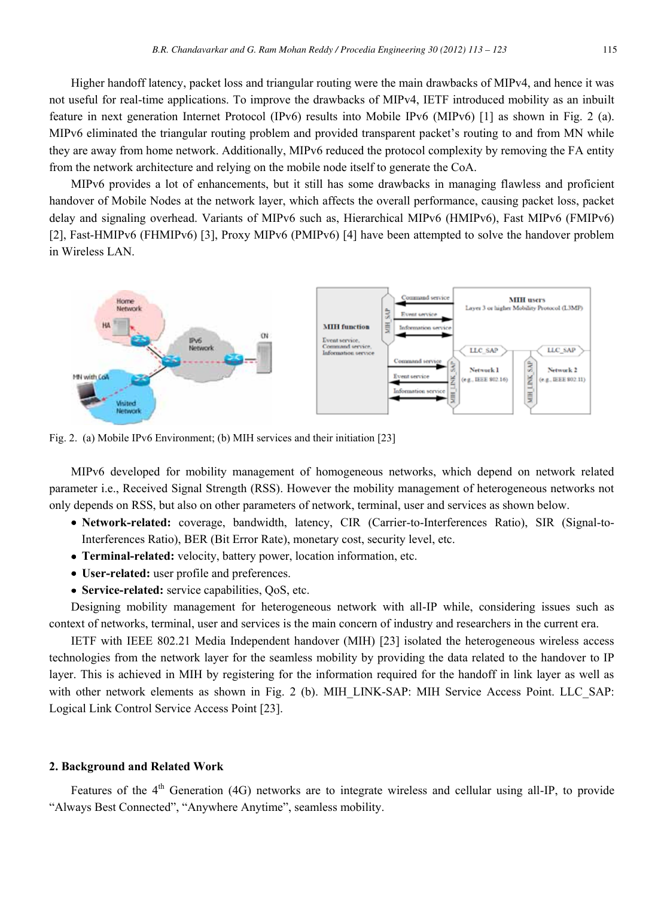Higher handoff latency, packet loss and triangular routing were the main drawbacks of MIPv4, and hence it was not useful for real-time applications. To improve the drawbacks of MIPv4, IETF introduced mobility as an inbuilt feature in next generation Internet Protocol (IPv6) results into Mobile IPv6 (MIPv6) [1] as shown in Fig. 2 (a). MIPv6 eliminated the triangular routing problem and provided transparent packet's routing to and from MN while they are away from home network. Additionally, MIPv6 reduced the protocol complexity by removing the FA entity from the network architecture and relying on the mobile node itself to generate the CoA.

MIPv6 provides a lot of enhancements, but it still has some drawbacks in managing flawless and proficient handover of Mobile Nodes at the network layer, which affects the overall performance, causing packet loss, packet delay and signaling overhead. Variants of MIPv6 such as, Hierarchical MIPv6 (HMIPv6), Fast MIPv6 (FMIPv6) [2], Fast-HMIPv6 (FHMIPv6) [3], Proxy MIPv6 (PMIPv6) [4] have been attempted to solve the handover problem in Wireless LAN.



Fig. 2. (a) Mobile IPv6 Environment; (b) MIH services and their initiation [23]

MIPv6 developed for mobility management of homogeneous networks, which depend on network related parameter i.e., Received Signal Strength (RSS). However the mobility management of heterogeneous networks not only depends on RSS, but also on other parameters of network, terminal, user and services as shown below.

- **Network-related:** coverage, bandwidth, latency, CIR (Carrier-to-Interferences Ratio), SIR (Signal-to-Interferences Ratio), BER (Bit Error Rate), monetary cost, security level, etc.
- **Terminal-related:** velocity, battery power, location information, etc.
- **User-related:** user profile and preferences.
- **Service-related:** service capabilities, QoS, etc.

Designing mobility management for heterogeneous network with all-IP while, considering issues such as context of networks, terminal, user and services is the main concern of industry and researchers in the current era.

IETF with IEEE 802.21 Media Independent handover (MIH) [23] isolated the heterogeneous wireless access technologies from the network layer for the seamless mobility by providing the data related to the handover to IP layer. This is achieved in MIH by registering for the information required for the handoff in link layer as well as with other network elements as shown in Fig. 2 (b). MIH LINK-SAP: MIH Service Access Point. LLC\_SAP: Logical Link Control Service Access Point [23].

#### **2. Background and Related Work**

Features of the 4<sup>th</sup> Generation (4G) networks are to integrate wireless and cellular using all-IP, to provide "Always Best Connected", "Anywhere Anytime", seamless mobility.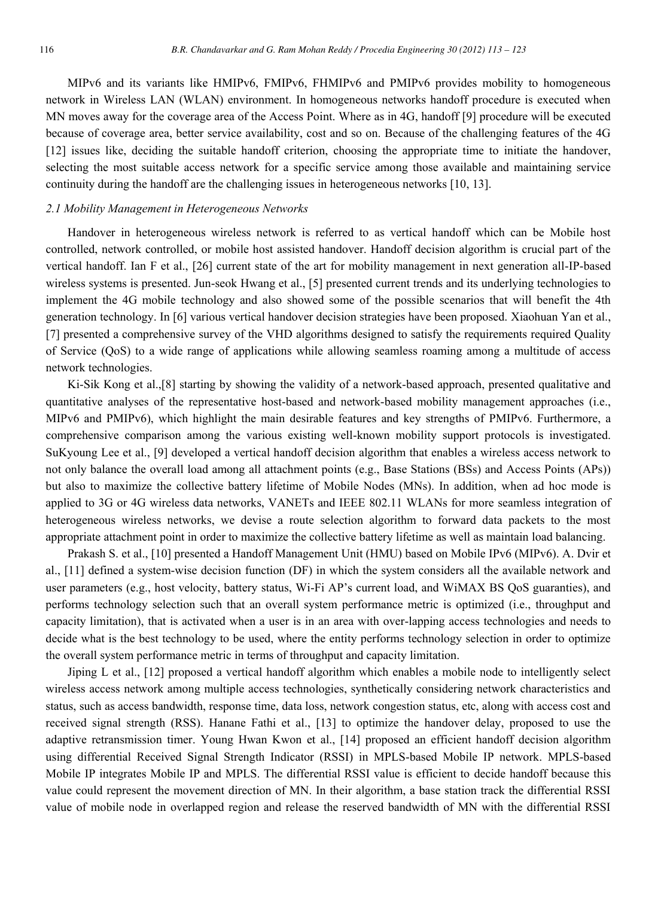MIPv6 and its variants like HMIPv6, FMIPv6, FHMIPv6 and PMIPv6 provides mobility to homogeneous network in Wireless LAN (WLAN) environment. In homogeneous networks handoff procedure is executed when MN moves away for the coverage area of the Access Point. Where as in 4G, handoff [9] procedure will be executed because of coverage area, better service availability, cost and so on. Because of the challenging features of the 4G [12] issues like, deciding the suitable handoff criterion, choosing the appropriate time to initiate the handover, selecting the most suitable access network for a specific service among those available and maintaining service continuity during the handoff are the challenging issues in heterogeneous networks [10, 13].

## *2.1 Mobility Management in Heterogeneous Networks*

Handover in heterogeneous wireless network is referred to as vertical handoff which can be Mobile host controlled, network controlled, or mobile host assisted handover. Handoff decision algorithm is crucial part of the vertical handoff. Ian F et al., [26] current state of the art for mobility management in next generation all-IP-based wireless systems is presented. Jun-seok Hwang et al., [5] presented current trends and its underlying technologies to implement the 4G mobile technology and also showed some of the possible scenarios that will benefit the 4th generation technology. In [6] various vertical handover decision strategies have been proposed. Xiaohuan Yan et al., [7] presented a comprehensive survey of the VHD algorithms designed to satisfy the requirements required Quality of Service (QoS) to a wide range of applications while allowing seamless roaming among a multitude of access network technologies.

Ki-Sik Kong et al.,[8] starting by showing the validity of a network-based approach, presented qualitative and quantitative analyses of the representative host-based and network-based mobility management approaches (i.e., MIPv6 and PMIPv6), which highlight the main desirable features and key strengths of PMIPv6. Furthermore, a comprehensive comparison among the various existing well-known mobility support protocols is investigated. SuKyoung Lee et al., [9] developed a vertical handoff decision algorithm that enables a wireless access network to not only balance the overall load among all attachment points (e.g., Base Stations (BSs) and Access Points (APs)) but also to maximize the collective battery lifetime of Mobile Nodes (MNs). In addition, when ad hoc mode is applied to 3G or 4G wireless data networks, VANETs and IEEE 802.11 WLANs for more seamless integration of heterogeneous wireless networks, we devise a route selection algorithm to forward data packets to the most appropriate attachment point in order to maximize the collective battery lifetime as well as maintain load balancing.

Prakash S. et al., [10] presented a Handoff Management Unit (HMU) based on Mobile IPv6 (MIPv6). A. Dvir et al., [11] defined a system-wise decision function (DF) in which the system considers all the available network and user parameters (e.g., host velocity, battery status, Wi-Fi AP's current load, and WiMAX BS QoS guaranties), and performs technology selection such that an overall system performance metric is optimized (i.e., throughput and capacity limitation), that is activated when a user is in an area with over-lapping access technologies and needs to decide what is the best technology to be used, where the entity performs technology selection in order to optimize the overall system performance metric in terms of throughput and capacity limitation.

Jiping L et al., [12] proposed a vertical handoff algorithm which enables a mobile node to intelligently select wireless access network among multiple access technologies, synthetically considering network characteristics and status, such as access bandwidth, response time, data loss, network congestion status, etc, along with access cost and received signal strength (RSS). Hanane Fathi et al., [13] to optimize the handover delay, proposed to use the adaptive retransmission timer. Young Hwan Kwon et al., [14] proposed an efficient handoff decision algorithm using differential Received Signal Strength Indicator (RSSI) in MPLS-based Mobile IP network. MPLS-based Mobile IP integrates Mobile IP and MPLS. The differential RSSI value is efficient to decide handoff because this value could represent the movement direction of MN. In their algorithm, a base station track the differential RSSI value of mobile node in overlapped region and release the reserved bandwidth of MN with the differential RSSI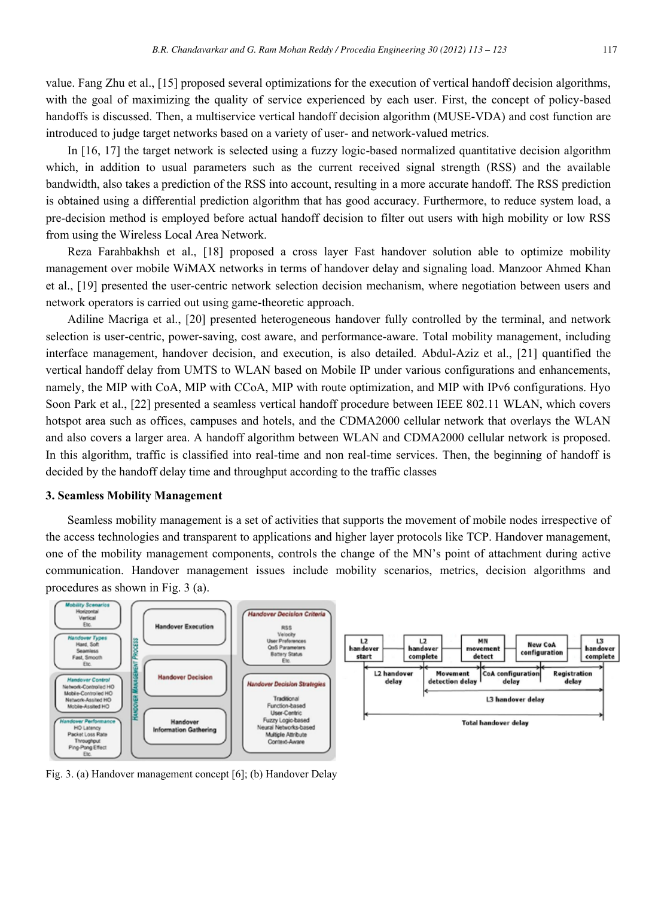value. Fang Zhu et al., [15] proposed several optimizations for the execution of vertical handoff decision algorithms, with the goal of maximizing the quality of service experienced by each user. First, the concept of policy-based handoffs is discussed. Then, a multiservice vertical handoff decision algorithm (MUSE-VDA) and cost function are introduced to judge target networks based on a variety of user- and network-valued metrics.

In [16, 17] the target network is selected using a fuzzy logic-based normalized quantitative decision algorithm which, in addition to usual parameters such as the current received signal strength (RSS) and the available bandwidth, also takes a prediction of the RSS into account, resulting in a more accurate handoff. The RSS prediction is obtained using a differential prediction algorithm that has good accuracy. Furthermore, to reduce system load, a pre-decision method is employed before actual handoff decision to filter out users with high mobility or low RSS from using the Wireless Local Area Network.

Reza Farahbakhsh et al., [18] proposed a cross layer Fast handover solution able to optimize mobility management over mobile WiMAX networks in terms of handover delay and signaling load. Manzoor Ahmed Khan et al., [19] presented the user-centric network selection decision mechanism, where negotiation between users and network operators is carried out using game-theoretic approach.

Adiline Macriga et al., [20] presented heterogeneous handover fully controlled by the terminal, and network selection is user-centric, power-saving, cost aware, and performance-aware. Total mobility management, including interface management, handover decision, and execution, is also detailed. Abdul-Aziz et al., [21] quantified the vertical handoff delay from UMTS to WLAN based on Mobile IP under various configurations and enhancements, namely, the MIP with CoA, MIP with CCoA, MIP with route optimization, and MIP with IPv6 configurations. Hyo Soon Park et al., [22] presented a seamless vertical handoff procedure between IEEE 802.11 WLAN, which covers hotspot area such as offices, campuses and hotels, and the CDMA2000 cellular network that overlays the WLAN and also covers a larger area. A handoff algorithm between WLAN and CDMA2000 cellular network is proposed. In this algorithm, traffic is classified into real-time and non real-time services. Then, the beginning of handoff is decided by the handoff delay time and throughput according to the traffic classes

# **3. Seamless Mobility Management**

Seamless mobility management is a set of activities that supports the movement of mobile nodes irrespective of the access technologies and transparent to applications and higher layer protocols like TCP. Handover management, one of the mobility management components, controls the change of the MN's point of attachment during active communication. Handover management issues include mobility scenarios, metrics, decision algorithms and procedures as shown in Fig. 3 (a).



Fig. 3. (a) Handover management concept [6]; (b) Handover Delay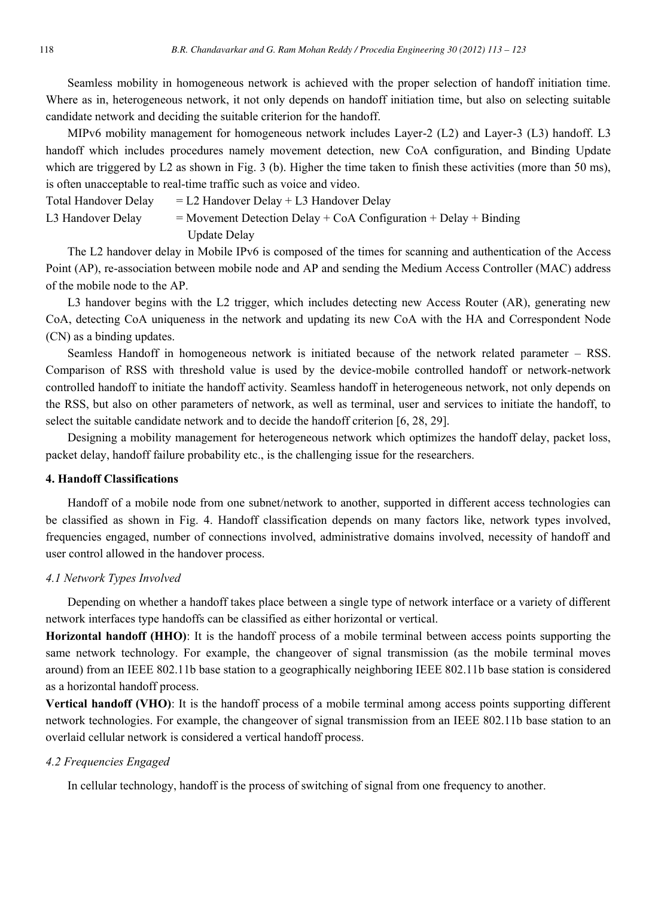Seamless mobility in homogeneous network is achieved with the proper selection of handoff initiation time. Where as in, heterogeneous network, it not only depends on handoff initiation time, but also on selecting suitable candidate network and deciding the suitable criterion for the handoff.

MIPv6 mobility management for homogeneous network includes Layer-2 (L2) and Layer-3 (L3) handoff. L3 handoff which includes procedures namely movement detection, new CoA configuration, and Binding Update which are triggered by L2 as shown in Fig. 3 (b). Higher the time taken to finish these activities (more than 50 ms), is often unacceptable to real-time traffic such as voice and video.

| Total Handover Delay | $= L2$ Handover Delay + L3 Handover Delay                          |
|----------------------|--------------------------------------------------------------------|
| L3 Handover Delay    | $=$ Movement Detection Delay + CoA Configuration + Delay + Binding |
|                      | Update Delay                                                       |

The L2 handover delay in Mobile IPv6 is composed of the times for scanning and authentication of the Access Point (AP), re-association between mobile node and AP and sending the Medium Access Controller (MAC) address of the mobile node to the AP.

L3 handover begins with the L2 trigger, which includes detecting new Access Router (AR), generating new CoA, detecting CoA uniqueness in the network and updating its new CoA with the HA and Correspondent Node (CN) as a binding updates.

Seamless Handoff in homogeneous network is initiated because of the network related parameter – RSS. Comparison of RSS with threshold value is used by the device-mobile controlled handoff or network-network controlled handoff to initiate the handoff activity. Seamless handoff in heterogeneous network, not only depends on the RSS, but also on other parameters of network, as well as terminal, user and services to initiate the handoff, to select the suitable candidate network and to decide the handoff criterion [6, 28, 29].

Designing a mobility management for heterogeneous network which optimizes the handoff delay, packet loss, packet delay, handoff failure probability etc., is the challenging issue for the researchers.

#### **4. Handoff Classifications**

Handoff of a mobile node from one subnet/network to another, supported in different access technologies can be classified as shown in Fig. 4. Handoff classification depends on many factors like, network types involved, frequencies engaged, number of connections involved, administrative domains involved, necessity of handoff and user control allowed in the handover process.

# *4.1 Network Types Involved*

Depending on whether a handoff takes place between a single type of network interface or a variety of different network interfaces type handoffs can be classified as either horizontal or vertical.

**Horizontal handoff (HHO)**: It is the handoff process of a mobile terminal between access points supporting the same network technology. For example, the changeover of signal transmission (as the mobile terminal moves around) from an IEEE 802.11b base station to a geographically neighboring IEEE 802.11b base station is considered as a horizontal handoff process.

**Vertical handoff (VHO)**: It is the handoff process of a mobile terminal among access points supporting different network technologies. For example, the changeover of signal transmission from an IEEE 802.11b base station to an overlaid cellular network is considered a vertical handoff process.

#### *4.2 Frequencies Engaged*

In cellular technology, handoff is the process of switching of signal from one frequency to another.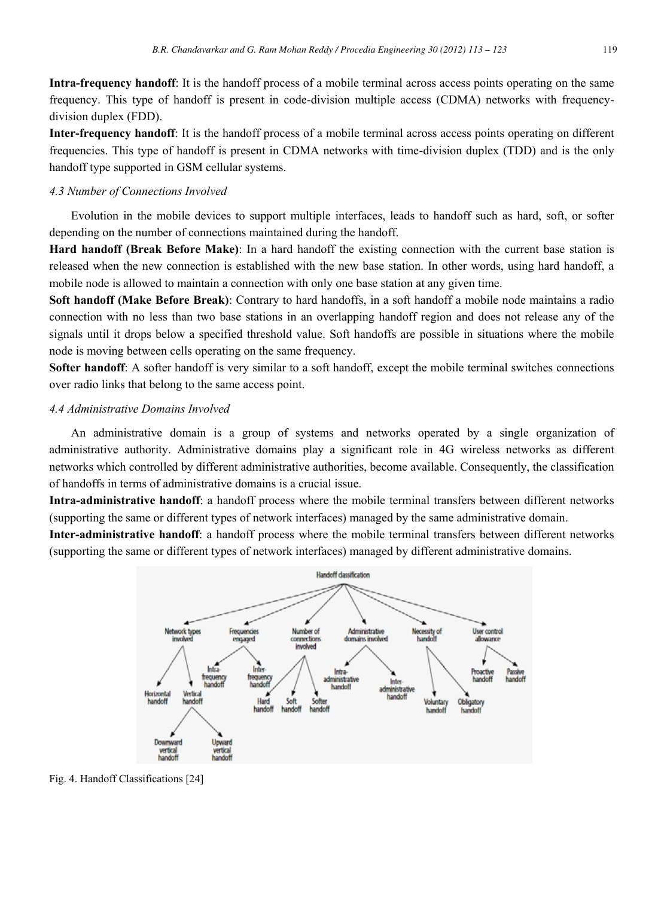**Intra-frequency handoff**: It is the handoff process of a mobile terminal across access points operating on the same frequency. This type of handoff is present in code-division multiple access (CDMA) networks with frequencydivision duplex (FDD).

**Inter-frequency handoff**: It is the handoff process of a mobile terminal across access points operating on different frequencies. This type of handoff is present in CDMA networks with time-division duplex (TDD) and is the only handoff type supported in GSM cellular systems.

#### *4.3 Number of Connections Involved*

Evolution in the mobile devices to support multiple interfaces, leads to handoff such as hard, soft, or softer depending on the number of connections maintained during the handoff.

**Hard handoff (Break Before Make)**: In a hard handoff the existing connection with the current base station is released when the new connection is established with the new base station. In other words, using hard handoff, a mobile node is allowed to maintain a connection with only one base station at any given time.

**Soft handoff (Make Before Break)**: Contrary to hard handoffs, in a soft handoff a mobile node maintains a radio connection with no less than two base stations in an overlapping handoff region and does not release any of the signals until it drops below a specified threshold value. Soft handoffs are possible in situations where the mobile node is moving between cells operating on the same frequency.

**Softer handoff**: A softer handoff is very similar to a soft handoff, except the mobile terminal switches connections over radio links that belong to the same access point.

# *4.4 Administrative Domains Involved*

An administrative domain is a group of systems and networks operated by a single organization of administrative authority. Administrative domains play a significant role in 4G wireless networks as different networks which controlled by different administrative authorities, become available. Consequently, the classification of handoffs in terms of administrative domains is a crucial issue.

**Intra-administrative handoff**: a handoff process where the mobile terminal transfers between different networks (supporting the same or different types of network interfaces) managed by the same administrative domain.

**Inter-administrative handoff**: a handoff process where the mobile terminal transfers between different networks (supporting the same or different types of network interfaces) managed by different administrative domains.



Fig. 4. Handoff Classifications [24]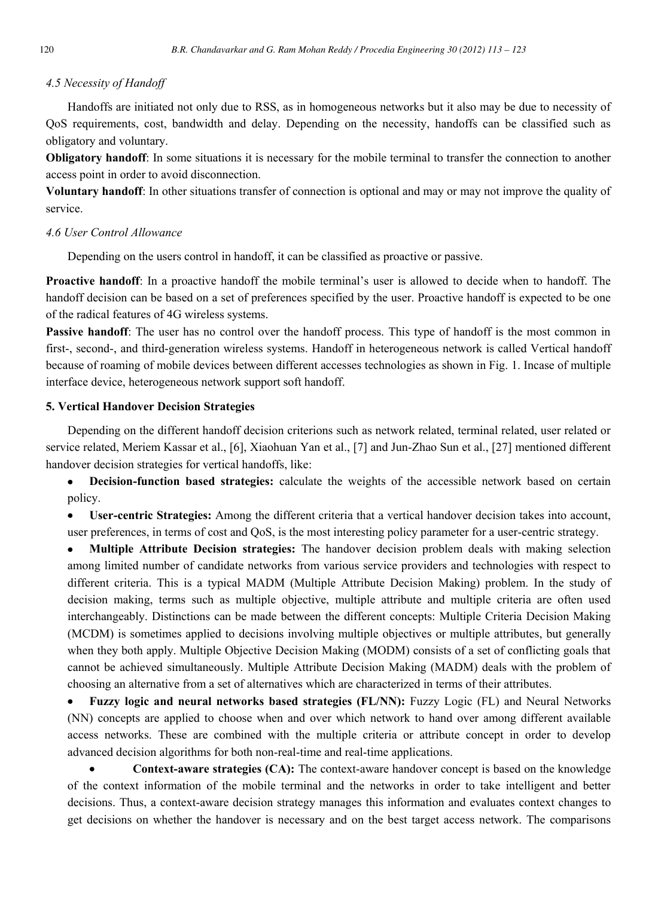# *4.5 Necessity of Handoff*

Handoffs are initiated not only due to RSS, as in homogeneous networks but it also may be due to necessity of QoS requirements, cost, bandwidth and delay. Depending on the necessity, handoffs can be classified such as obligatory and voluntary.

**Obligatory handoff**: In some situations it is necessary for the mobile terminal to transfer the connection to another access point in order to avoid disconnection.

**Voluntary handoff**: In other situations transfer of connection is optional and may or may not improve the quality of service.

# *4.6 User Control Allowance*

Depending on the users control in handoff, it can be classified as proactive or passive.

**Proactive handoff**: In a proactive handoff the mobile terminal's user is allowed to decide when to handoff. The handoff decision can be based on a set of preferences specified by the user. Proactive handoff is expected to be one of the radical features of 4G wireless systems.

**Passive handoff**: The user has no control over the handoff process. This type of handoff is the most common in first-, second-, and third-generation wireless systems. Handoff in heterogeneous network is called Vertical handoff because of roaming of mobile devices between different accesses technologies as shown in Fig. 1. Incase of multiple interface device, heterogeneous network support soft handoff.

## **5. Vertical Handover Decision Strategies**

Depending on the different handoff decision criterions such as network related, terminal related, user related or service related, Meriem Kassar et al., [6], Xiaohuan Yan et al., [7] and Jun-Zhao Sun et al., [27] mentioned different handover decision strategies for vertical handoffs, like:

 $\bullet$ **Decision-function based strategies:** calculate the weights of the accessible network based on certain policy.

 $\bullet$ **User-centric Strategies:** Among the different criteria that a vertical handover decision takes into account, user preferences, in terms of cost and QoS, is the most interesting policy parameter for a user-centric strategy.

**Multiple Attribute Decision strategies:** The handover decision problem deals with making selection among limited number of candidate networks from various service providers and technologies with respect to different criteria. This is a typical MADM (Multiple Attribute Decision Making) problem. In the study of decision making, terms such as multiple objective, multiple attribute and multiple criteria are often used interchangeably. Distinctions can be made between the different concepts: Multiple Criteria Decision Making (MCDM) is sometimes applied to decisions involving multiple objectives or multiple attributes, but generally when they both apply. Multiple Objective Decision Making (MODM) consists of a set of conflicting goals that cannot be achieved simultaneously. Multiple Attribute Decision Making (MADM) deals with the problem of choosing an alternative from a set of alternatives which are characterized in terms of their attributes.

**Fuzzy logic and neural networks based strategies (FL/NN):** Fuzzy Logic (FL) and Neural Networks (NN) concepts are applied to choose when and over which network to hand over among different available access networks. These are combined with the multiple criteria or attribute concept in order to develop advanced decision algorithms for both non-real-time and real-time applications.

 $\bullet$ **Context-aware strategies (CA):** The context-aware handover concept is based on the knowledge of the context information of the mobile terminal and the networks in order to take intelligent and better decisions. Thus, a context-aware decision strategy manages this information and evaluates context changes to get decisions on whether the handover is necessary and on the best target access network. The comparisons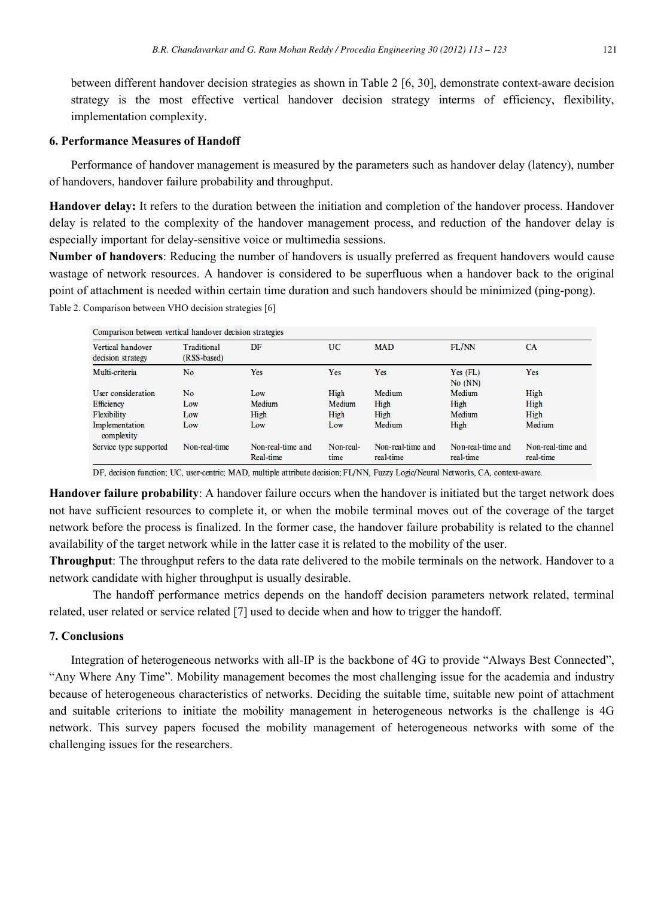between different handover decision strategies as shown in Table 2 [6, 30], demonstrate context-aware decision strategy is the most effective vertical handover decision strategy interms of efficiency, flexibility, implementation complexity.

# **6. Performance Measures of Handoff**

Performance of handover management is measured by the parameters such as handover delay (latency), number of handovers, handover failure probability and throughput.

**Handover delay:** It refers to the duration between the initiation and completion of the handover process. Handover delay is related to the complexity of the handover management process, and reduction of the handover delay is especially important for delay-sensitive voice or multimedia sessions.

**Number of handovers**: Reducing the number of handovers is usually preferred as frequent handovers would cause wastage of network resources. A handover is considered to be superfluous when a handover back to the original point of attachment is needed within certain time duration and such handovers should be minimized (ping-pong).

Table 2. Comparison between VHO decision strategies [6]

| Comparison between vertical handover decision strategies |                            |                                |                   |                                |                                |                                |  |  |
|----------------------------------------------------------|----------------------------|--------------------------------|-------------------|--------------------------------|--------------------------------|--------------------------------|--|--|
| Vertical handover<br>decision strategy                   | Traditional<br>(RSS-based) | DF                             | UC                | <b>MAD</b>                     | FL/NN                          | CA                             |  |  |
| Multi-criteria                                           | No                         | Yes                            | Yes               | Yes                            | $Yes$ ( $FL$ )<br>No(NN)       | Yes                            |  |  |
| User consideration                                       | No                         | Low                            | High              | Medium                         | Medium                         | High                           |  |  |
| Efficiency                                               | Low                        | Medium                         | Medium            | High                           | High                           | High                           |  |  |
| Flexibility                                              | Low                        | High                           | High              | High                           | Medium                         | High                           |  |  |
| Implementation<br>complexity                             | Low                        | Low                            | Low               | Medium                         | High                           | Medium                         |  |  |
| Service type supported                                   | Non-real-time              | Non-real-time and<br>Real-time | Non-real-<br>time | Non-real-time and<br>real-time | Non-real-time and<br>real-time | Non-real-time and<br>real-time |  |  |

DF, decision function; UC, user-centric; MAD, multiple attribute decision; FL/NN, Fuzzy Logic/Neural Networks, CA, context-aware.

**Handover failure probability**: A handover failure occurs when the handover is initiated but the target network does not have sufficient resources to complete it, or when the mobile terminal moves out of the coverage of the target network before the process is finalized. In the former case, the handover failure probability is related to the channel availability of the target network while in the latter case it is related to the mobility of the user.

**Throughput**: The throughput refers to the data rate delivered to the mobile terminals on the network. Handover to a network candidate with higher throughput is usually desirable.

The handoff performance metrics depends on the handoff decision parameters network related, terminal related, user related or service related [7] used to decide when and how to trigger the handoff.

# **7. Conclusions**

Integration of heterogeneous networks with all-IP is the backbone of 4G to provide "Always Best Connected", "Any Where Any Time". Mobility management becomes the most challenging issue for the academia and industry because of heterogeneous characteristics of networks. Deciding the suitable time, suitable new point of attachment and suitable criterions to initiate the mobility management in heterogeneous networks is the challenge is 4G network. This survey papers focused the mobility management of heterogeneous networks with some of the challenging issues for the researchers.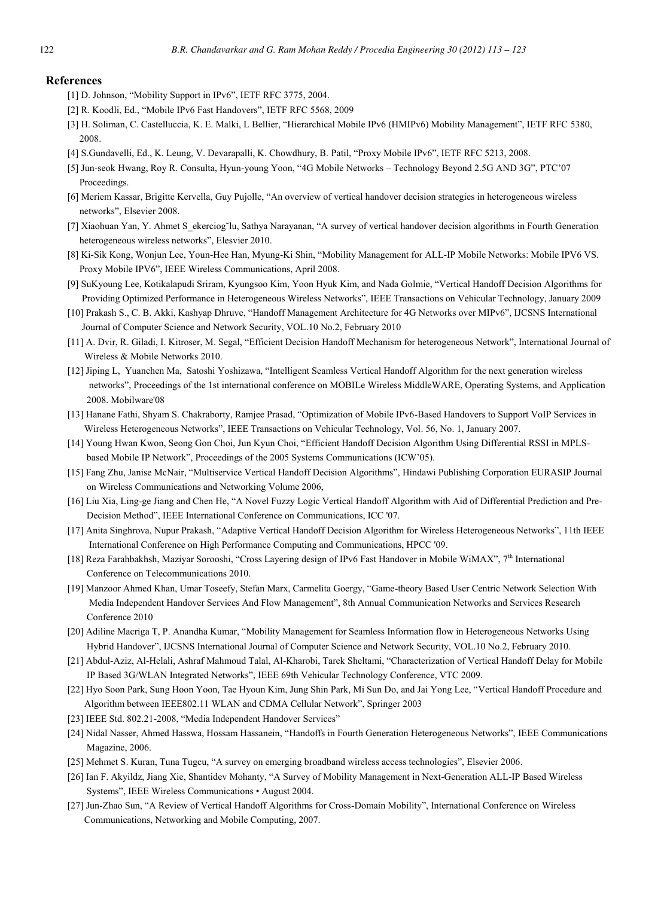#### **References**

- [1] D. Johnson, "Mobility Support in IPv6", IETF RFC 3775, 2004.
- [2] R. Koodli, Ed., "Mobile IPv6 Fast Handovers", IETF RFC 5568, 2009
- [3] H. Soliman, C. Castelluccia, K. E. Malki, L Bellier, "Hierarchical Mobile IPv6 (HMIPv6) Mobility Management", IETF RFC 5380, 2008.
- [4] S.Gundavelli, Ed., K. Leung, V. Devarapalli, K. Chowdhury, B. Patil, "Proxy Mobile IPv6", IETF RFC 5213, 2008.
- [5] Jun-seok Hwang, Roy R. Consulta, Hyun-young Yoon, "4G Mobile Networks Technology Beyond 2.5G AND 3G", PTC'07 Proceedings.
- [6] Meriem Kassar, Brigitte Kervella, Guy Pujolle, "An overview of vertical handover decision strategies in heterogeneous wireless networks", Elsevier 2008.
- [7] Xiaohuan Yan, Y. Ahmet S\_ekerciog˘lu, Sathya Narayanan, "A survey of vertical handover decision algorithms in Fourth Generation heterogeneous wireless networks", Elesvier 2010.
- [8] Ki-Sik Kong, Wonjun Lee, Youn-Hee Han, Myung-Ki Shin, "Mobility Management for ALL-IP Mobile Networks: Mobile IPV6 VS. Proxy Mobile IPV6", IEEE Wireless Communications, April 2008.
- [9] SuKyoung Lee, Kotikalapudi Sriram, Kyungsoo Kim, Yoon Hyuk Kim, and Nada Golmie, "Vertical Handoff Decision Algorithms for Providing Optimized Performance in Heterogeneous Wireless Networks", IEEE Transactions on Vehicular Technology, January 2009
- [10] Prakash S., C. B. Akki, Kashyap Dhruve, "Handoff Management Architecture for 4G Networks over MIPv6", IJCSNS International Journal of Computer Science and Network Security, VOL.10 No.2, February 2010
- [11] A. Dvir, R. Giladi, I. Kitroser, M. Segal, "Efficient Decision Handoff Mechanism for heterogeneous Network", International Journal of Wireless & Mobile Networks 2010.
- [12] Jiping L, Yuanchen Ma, Satoshi Yoshizawa, "Intelligent Seamless Vertical Handoff Algorithm for the next generation wireless networks", Proceedings of the 1st international conference on MOBILe Wireless MiddleWARE, Operating Systems, and Application 2008. Mobilware'08
- [13] Hanane Fathi, Shyam S. Chakraborty, Ramjee Prasad, "Optimization of Mobile IPv6-Based Handovers to Support VoIP Services in Wireless Heterogeneous Networks", IEEE Transactions on Vehicular Technology, Vol. 56, No. 1, January 2007.
- [14] Young Hwan Kwon, Seong Gon Choi, Jun Kyun Choi, "Efficient Handoff Decision Algorithm Using Differential RSSI in MPLS based Mobile IP Network", Proceedings of the 2005 Systems Communications (ICW'05).
- [15] Fang Zhu, Janise McNair, "Multiservice Vertical Handoff Decision Algorithms", Hindawi Publishing Corporation EURASIP Journal on Wireless Communications and Networking Volume 2006,
- [16] Liu Xia, Ling-ge Jiang and Chen He, "A Novel Fuzzy Logic Vertical Handoff Algorithm with Aid of Differential Prediction and Pre- Decision Method", IEEE International Conference on Communications, ICC '07.
- [17] Anita Singhrova, Nupur Prakash, "Adaptive Vertical Handoff Decision Algorithm for Wireless Heterogeneous Networks", 11th IEEE International Conference on High Performance Computing and Communications, HPCC '09.
- [18] Reza Farahbakhsh, Maziyar Sorooshi, "Cross Layering design of IPv6 Fast Handover in Mobile WiMAX", 7th International Conference on Telecommunications 2010.
- [19] Manzoor Ahmed Khan, Umar Toseefy, Stefan Marx, Carmelita Goergy, "Game-theory Based User Centric Network Selection With Media Independent Handover Services And Flow Management", 8th Annual Communication Networks and Services Research Conference 2010
- [20] Adiline Macriga T, P. Anandha Kumar, "Mobility Management for Seamless Information flow in Heterogeneous Networks Using Hybrid Handover", IJCSNS International Journal of Computer Science and Network Security, VOL.10 No.2, February 2010.
- [21] Abdul-Aziz, Al-Helali, Ashraf Mahmoud Talal, Al-Kharobi, Tarek Sheltami, "Characterization of Vertical Handoff Delay for Mobile IP Based 3G/WLAN Integrated Networks", IEEE 69th Vehicular Technology Conference, VTC 2009.
- [22] Hyo Soon Park, Sung Hoon Yoon, Tae Hyoun Kim, Jung Shin Park, Mi Sun Do, and Jai Yong Lee, "Vertical Handoff Procedure and Algorithm between IEEE802.11 WLAN and CDMA Cellular Network", Springer 2003
- [23] IEEE Std. 802.21-2008, "Media Independent Handover Services"
- [24] Nidal Nasser, Ahmed Hasswa, Hossam Hassanein, "Handoffs in Fourth Generation Heterogeneous Networks", IEEE Communications Magazine, 2006.
- [25] Mehmet S. Kuran, Tuna Tugcu, "A survey on emerging broadband wireless access technologies", Elsevier 2006.
- [26] Ian F. Akyildz, Jiang Xie, Shantidev Mohanty, "A Survey of Mobility Management in Next-Generation ALL-IP Based Wireless Systems", IEEE Wireless Communications • August 2004.
- [27] Jun-Zhao Sun, "A Review of Vertical Handoff Algorithms for Cross-Domain Mobility", International Conference on Wireless Communications, Networking and Mobile Computing, 2007.